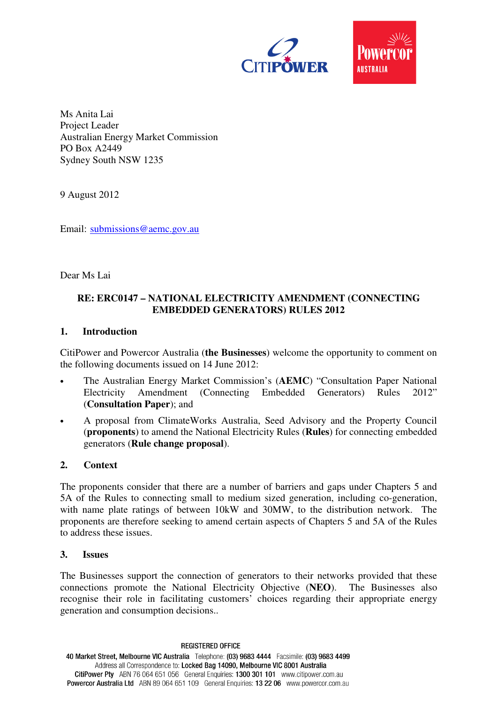

Ms Anita Lai Project Leader Australian Energy Market Commission PO Box A2449 Sydney South NSW 1235

9 August 2012

Email: submissions@aemc.gov.au

Dear Ms Lai

### **RE: ERC0147 – NATIONAL ELECTRICITY AMENDMENT (CONNECTING EMBEDDED GENERATORS) RULES 2012**

#### **1. Introduction**

CitiPower and Powercor Australia (**the Businesses**) welcome the opportunity to comment on the following documents issued on 14 June 2012:

- The Australian Energy Market Commission's (**AEMC**) "Consultation Paper National Electricity Amendment (Connecting Embedded Generators) Rules 2012" (**Consultation Paper**); and
- A proposal from ClimateWorks Australia, Seed Advisory and the Property Council (**proponents**) to amend the National Electricity Rules (**Rules**) for connecting embedded generators (**Rule change proposal**).

### **2. Context**

The proponents consider that there are a number of barriers and gaps under Chapters 5 and 5A of the Rules to connecting small to medium sized generation, including co-generation, with name plate ratings of between 10kW and 30MW, to the distribution network. The proponents are therefore seeking to amend certain aspects of Chapters 5 and 5A of the Rules to address these issues.

#### **3. Issues**

The Businesses support the connection of generators to their networks provided that these connections promote the National Electricity Objective (**NEO**). The Businesses also recognise their role in facilitating customers' choices regarding their appropriate energy generation and consumption decisions..

**REGISTERED OFFICE** 40 Market Street, Melbourne VIC Australia Telephone: (03) 9683 4444 Facsimile: (03) 9683 4499 Address all Correspondence to: Locked Bag 14090, Melbourne VIC 8001 Australia CitiPower Pty ABN 76 064 651 056 General Enquiries: 1300 301 101 www.citipower.com.au Powercor Australia Ltd ABN 89 064 651 109 General Enquiries: 13 22 06 www.powercor.com.au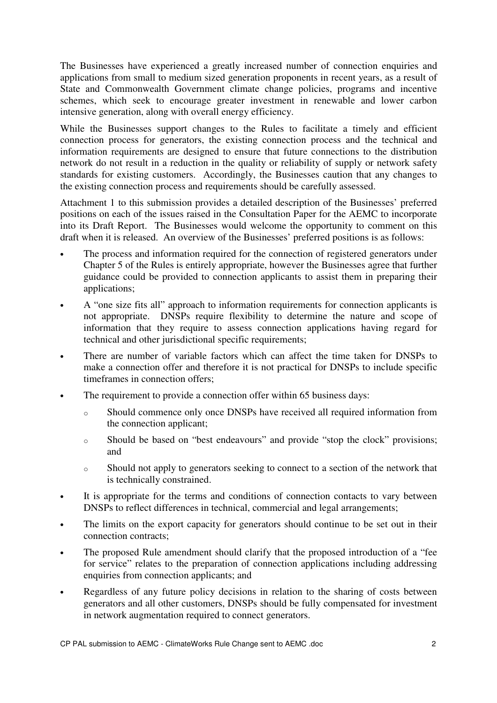The Businesses have experienced a greatly increased number of connection enquiries and applications from small to medium sized generation proponents in recent years, as a result of State and Commonwealth Government climate change policies, programs and incentive schemes, which seek to encourage greater investment in renewable and lower carbon intensive generation, along with overall energy efficiency.

While the Businesses support changes to the Rules to facilitate a timely and efficient connection process for generators, the existing connection process and the technical and information requirements are designed to ensure that future connections to the distribution network do not result in a reduction in the quality or reliability of supply or network safety standards for existing customers. Accordingly, the Businesses caution that any changes to the existing connection process and requirements should be carefully assessed.

Attachment 1 to this submission provides a detailed description of the Businesses' preferred positions on each of the issues raised in the Consultation Paper for the AEMC to incorporate into its Draft Report. The Businesses would welcome the opportunity to comment on this draft when it is released. An overview of the Businesses' preferred positions is as follows:

- The process and information required for the connection of registered generators under Chapter 5 of the Rules is entirely appropriate, however the Businesses agree that further guidance could be provided to connection applicants to assist them in preparing their applications;
- A "one size fits all" approach to information requirements for connection applicants is not appropriate. DNSPs require flexibility to determine the nature and scope of information that they require to assess connection applications having regard for technical and other jurisdictional specific requirements;
- There are number of variable factors which can affect the time taken for DNSPs to make a connection offer and therefore it is not practical for DNSPs to include specific timeframes in connection offers;
- The requirement to provide a connection offer within 65 business days:
	- o Should commence only once DNSPs have received all required information from the connection applicant;
	- o Should be based on "best endeavours" and provide "stop the clock" provisions; and
	- o Should not apply to generators seeking to connect to a section of the network that is technically constrained.
- It is appropriate for the terms and conditions of connection contacts to vary between DNSPs to reflect differences in technical, commercial and legal arrangements;
- The limits on the export capacity for generators should continue to be set out in their connection contracts;
- The proposed Rule amendment should clarify that the proposed introduction of a "fee for service" relates to the preparation of connection applications including addressing enquiries from connection applicants; and
- Regardless of any future policy decisions in relation to the sharing of costs between generators and all other customers, DNSPs should be fully compensated for investment in network augmentation required to connect generators.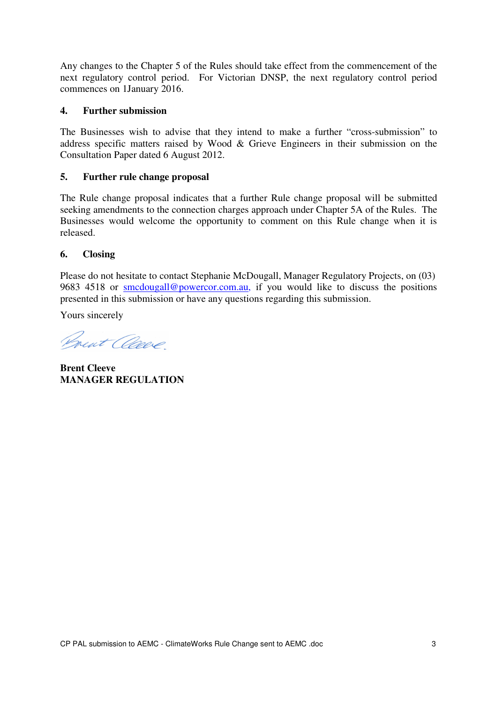Any changes to the Chapter 5 of the Rules should take effect from the commencement of the next regulatory control period. For Victorian DNSP, the next regulatory control period commences on 1January 2016.

### **4. Further submission**

The Businesses wish to advise that they intend to make a further "cross-submission" to address specific matters raised by Wood & Grieve Engineers in their submission on the Consultation Paper dated 6 August 2012.

### **5. Further rule change proposal**

The Rule change proposal indicates that a further Rule change proposal will be submitted seeking amendments to the connection charges approach under Chapter 5A of the Rules. The Businesses would welcome the opportunity to comment on this Rule change when it is released.

### **6. Closing**

Please do not hesitate to contact Stephanie McDougall, Manager Regulatory Projects, on (03) 9683 4518 or smcdougall@powercor.com.au, if you would like to discuss the positions presented in this submission or have any questions regarding this submission.

Yours sincerely

Brent anne

**Brent Cleeve MANAGER REGULATION**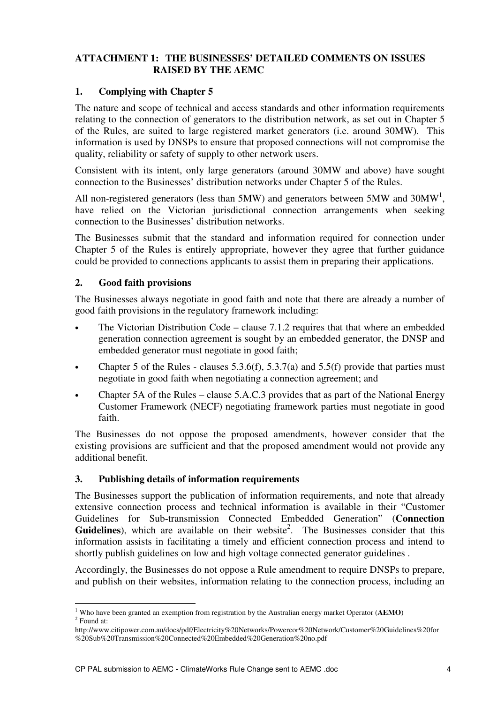## **ATTACHMENT 1: THE BUSINESSES' DETAILED COMMENTS ON ISSUES RAISED BY THE AEMC**

## **1. Complying with Chapter 5**

The nature and scope of technical and access standards and other information requirements relating to the connection of generators to the distribution network, as set out in Chapter 5 of the Rules, are suited to large registered market generators (i.e. around 30MW). This information is used by DNSPs to ensure that proposed connections will not compromise the quality, reliability or safety of supply to other network users.

Consistent with its intent, only large generators (around 30MW and above) have sought connection to the Businesses' distribution networks under Chapter 5 of the Rules.

All non-registered generators (less than 5MW) and generators between 5MW and 30MW<sup>1</sup>, have relied on the Victorian jurisdictional connection arrangements when seeking connection to the Businesses' distribution networks.

The Businesses submit that the standard and information required for connection under Chapter 5 of the Rules is entirely appropriate, however they agree that further guidance could be provided to connections applicants to assist them in preparing their applications.

### **2. Good faith provisions**

 $\overline{a}$ 

The Businesses always negotiate in good faith and note that there are already a number of good faith provisions in the regulatory framework including:

- The Victorian Distribution Code clause 7.1.2 requires that that where an embedded generation connection agreement is sought by an embedded generator, the DNSP and embedded generator must negotiate in good faith;
- Chapter 5 of the Rules clauses  $5.3.6(f)$ ,  $5.3.7(a)$  and  $5.5(f)$  provide that parties must negotiate in good faith when negotiating a connection agreement; and
- Chapter 5A of the Rules clause 5.A.C.3 provides that as part of the National Energy Customer Framework (NECF) negotiating framework parties must negotiate in good faith.

The Businesses do not oppose the proposed amendments, however consider that the existing provisions are sufficient and that the proposed amendment would not provide any additional benefit.

### **3. Publishing details of information requirements**

The Businesses support the publication of information requirements, and note that already extensive connection process and technical information is available in their "Customer Guidelines for Sub-transmission Connected Embedded Generation" (**Connection**  Guidelines), which are available on their website<sup>2</sup>. The Businesses consider that this information assists in facilitating a timely and efficient connection process and intend to shortly publish guidelines on low and high voltage connected generator guidelines .

Accordingly, the Businesses do not oppose a Rule amendment to require DNSPs to prepare, and publish on their websites, information relating to the connection process, including an

<sup>1</sup> Who have been granted an exemption from registration by the Australian energy market Operator (**AEMO**) 2 Found at:

http://www.citipower.com.au/docs/pdf/Electricity%20Networks/Powercor%20Network/Customer%20Guidelines%20for %20Sub%20Transmission%20Connected%20Embedded%20Generation%20no.pdf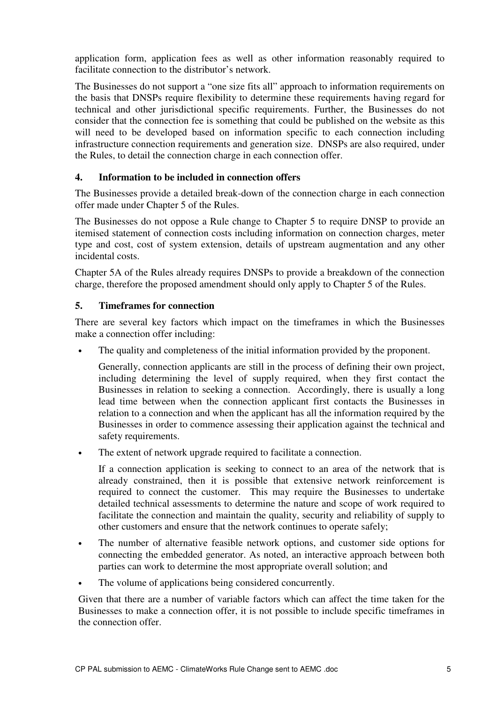application form, application fees as well as other information reasonably required to facilitate connection to the distributor's network.

The Businesses do not support a "one size fits all" approach to information requirements on the basis that DNSPs require flexibility to determine these requirements having regard for technical and other jurisdictional specific requirements. Further, the Businesses do not consider that the connection fee is something that could be published on the website as this will need to be developed based on information specific to each connection including infrastructure connection requirements and generation size. DNSPs are also required, under the Rules, to detail the connection charge in each connection offer.

## **4. Information to be included in connection offers**

The Businesses provide a detailed break-down of the connection charge in each connection offer made under Chapter 5 of the Rules.

The Businesses do not oppose a Rule change to Chapter 5 to require DNSP to provide an itemised statement of connection costs including information on connection charges, meter type and cost, cost of system extension, details of upstream augmentation and any other incidental costs.

Chapter 5A of the Rules already requires DNSPs to provide a breakdown of the connection charge, therefore the proposed amendment should only apply to Chapter 5 of the Rules.

## **5. Timeframes for connection**

There are several key factors which impact on the timeframes in which the Businesses make a connection offer including:

The quality and completeness of the initial information provided by the proponent.

Generally, connection applicants are still in the process of defining their own project, including determining the level of supply required, when they first contact the Businesses in relation to seeking a connection. Accordingly, there is usually a long lead time between when the connection applicant first contacts the Businesses in relation to a connection and when the applicant has all the information required by the Businesses in order to commence assessing their application against the technical and safety requirements.

• The extent of network upgrade required to facilitate a connection.

If a connection application is seeking to connect to an area of the network that is already constrained, then it is possible that extensive network reinforcement is required to connect the customer. This may require the Businesses to undertake detailed technical assessments to determine the nature and scope of work required to facilitate the connection and maintain the quality, security and reliability of supply to other customers and ensure that the network continues to operate safely;

- The number of alternative feasible network options, and customer side options for connecting the embedded generator. As noted, an interactive approach between both parties can work to determine the most appropriate overall solution; and
- The volume of applications being considered concurrently.

Given that there are a number of variable factors which can affect the time taken for the Businesses to make a connection offer, it is not possible to include specific timeframes in the connection offer.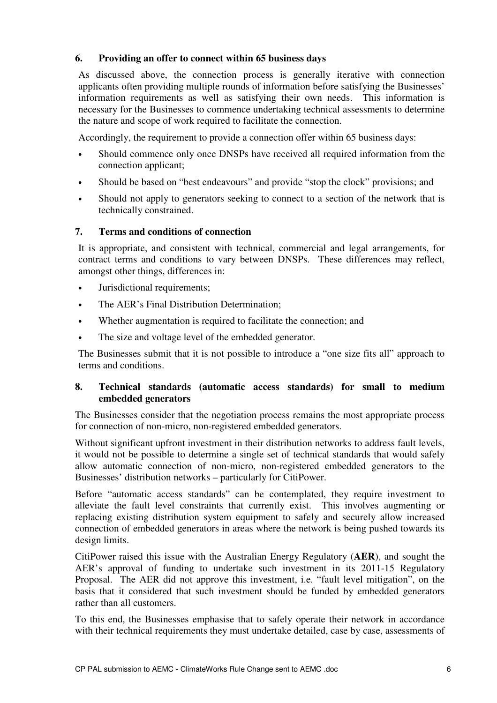# **6. Providing an offer to connect within 65 business days**

As discussed above, the connection process is generally iterative with connection applicants often providing multiple rounds of information before satisfying the Businesses' information requirements as well as satisfying their own needs. This information is necessary for the Businesses to commence undertaking technical assessments to determine the nature and scope of work required to facilitate the connection.

Accordingly, the requirement to provide a connection offer within 65 business days:

- Should commence only once DNSPs have received all required information from the connection applicant;
- Should be based on "best endeavours" and provide "stop the clock" provisions; and
- Should not apply to generators seeking to connect to a section of the network that is technically constrained.

## **7. Terms and conditions of connection**

It is appropriate, and consistent with technical, commercial and legal arrangements, for contract terms and conditions to vary between DNSPs. These differences may reflect, amongst other things, differences in:

- Jurisdictional requirements;
- The AER's Final Distribution Determination;
- Whether augmentation is required to facilitate the connection; and
- The size and voltage level of the embedded generator.

The Businesses submit that it is not possible to introduce a "one size fits all" approach to terms and conditions.

## **8. Technical standards (automatic access standards) for small to medium embedded generators**

The Businesses consider that the negotiation process remains the most appropriate process for connection of non-micro, non-registered embedded generators.

Without significant upfront investment in their distribution networks to address fault levels, it would not be possible to determine a single set of technical standards that would safely allow automatic connection of non-micro, non-registered embedded generators to the Businesses' distribution networks – particularly for CitiPower.

Before "automatic access standards" can be contemplated, they require investment to alleviate the fault level constraints that currently exist. This involves augmenting or replacing existing distribution system equipment to safely and securely allow increased connection of embedded generators in areas where the network is being pushed towards its design limits.

CitiPower raised this issue with the Australian Energy Regulatory (**AER**), and sought the AER's approval of funding to undertake such investment in its 2011-15 Regulatory Proposal. The AER did not approve this investment, i.e. "fault level mitigation", on the basis that it considered that such investment should be funded by embedded generators rather than all customers.

To this end, the Businesses emphasise that to safely operate their network in accordance with their technical requirements they must undertake detailed, case by case, assessments of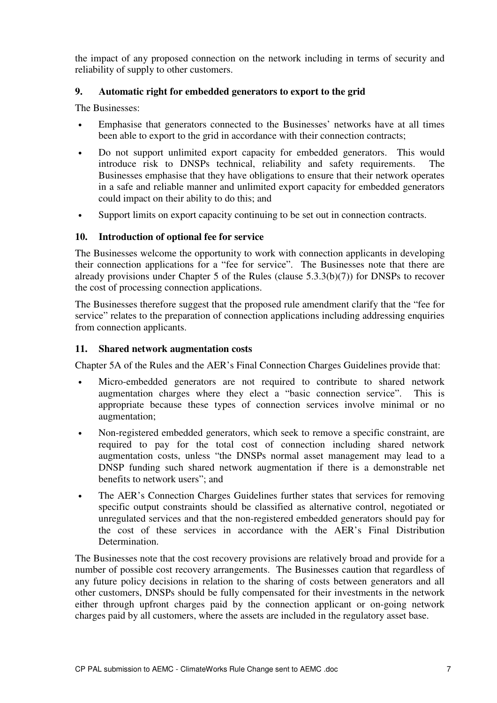the impact of any proposed connection on the network including in terms of security and reliability of supply to other customers.

# **9. Automatic right for embedded generators to export to the grid**

The Businesses:

- Emphasise that generators connected to the Businesses' networks have at all times been able to export to the grid in accordance with their connection contracts;
- Do not support unlimited export capacity for embedded generators. This would introduce risk to DNSPs technical, reliability and safety requirements. The Businesses emphasise that they have obligations to ensure that their network operates in a safe and reliable manner and unlimited export capacity for embedded generators could impact on their ability to do this; and
- Support limits on export capacity continuing to be set out in connection contracts.

# **10. Introduction of optional fee for service**

The Businesses welcome the opportunity to work with connection applicants in developing their connection applications for a "fee for service". The Businesses note that there are already provisions under Chapter 5 of the Rules (clause 5.3.3(b)(7)) for DNSPs to recover the cost of processing connection applications.

The Businesses therefore suggest that the proposed rule amendment clarify that the "fee for service" relates to the preparation of connection applications including addressing enquiries from connection applicants.

### **11. Shared network augmentation costs**

Chapter 5A of the Rules and the AER's Final Connection Charges Guidelines provide that:

- Micro-embedded generators are not required to contribute to shared network augmentation charges where they elect a "basic connection service". This is appropriate because these types of connection services involve minimal or no augmentation;
- Non-registered embedded generators, which seek to remove a specific constraint, are required to pay for the total cost of connection including shared network augmentation costs, unless "the DNSPs normal asset management may lead to a DNSP funding such shared network augmentation if there is a demonstrable net benefits to network users"; and
- The AER's Connection Charges Guidelines further states that services for removing specific output constraints should be classified as alternative control, negotiated or unregulated services and that the non-registered embedded generators should pay for the cost of these services in accordance with the AER's Final Distribution Determination.

The Businesses note that the cost recovery provisions are relatively broad and provide for a number of possible cost recovery arrangements. The Businesses caution that regardless of any future policy decisions in relation to the sharing of costs between generators and all other customers, DNSPs should be fully compensated for their investments in the network either through upfront charges paid by the connection applicant or on-going network charges paid by all customers, where the assets are included in the regulatory asset base.